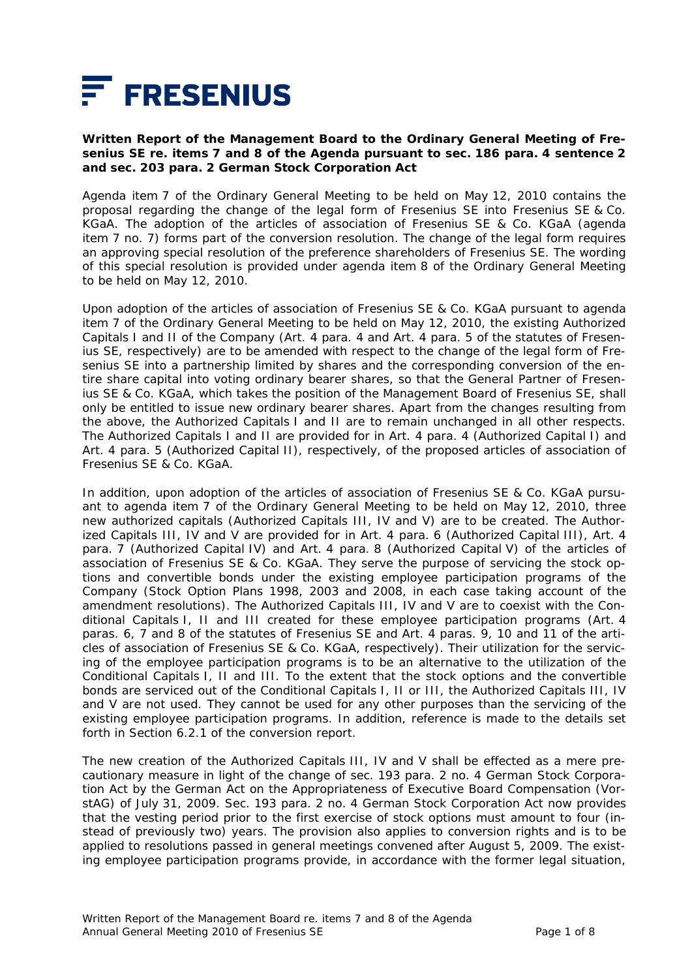

### **Written Report of the Management Board to the Ordinary General Meeting of Fresenius SE re. items 7 and 8 of the Agenda pursuant to sec. 186 para. 4 sentence 2 and sec. 203 para. 2 German Stock Corporation Act**

Agenda item 7 of the Ordinary General Meeting to be held on May 12, 2010 contains the proposal regarding the change of the legal form of Fresenius SE into Fresenius SE & Co. KGaA. The adoption of the articles of association of Fresenius SE & Co. KGaA (agenda item 7 no. 7) forms part of the conversion resolution. The change of the legal form requires an approving special resolution of the preference shareholders of Fresenius SE. The wording of this special resolution is provided under agenda item 8 of the Ordinary General Meeting to be held on May 12, 2010.

Upon adoption of the articles of association of Fresenius SE & Co. KGaA pursuant to agenda item 7 of the Ordinary General Meeting to be held on May 12, 2010, the existing Authorized Capitals I and II of the Company (Art. 4 para. 4 and Art. 4 para. 5 of the statutes of Fresenius SE, respectively) are to be amended with respect to the change of the legal form of Fresenius SE into a partnership limited by shares and the corresponding conversion of the entire share capital into voting ordinary bearer shares, so that the General Partner of Fresenius SE & Co. KGaA, which takes the position of the Management Board of Fresenius SE, shall only be entitled to issue new ordinary bearer shares. Apart from the changes resulting from the above, the Authorized Capitals I and II are to remain unchanged in all other respects. The Authorized Capitals I and II are provided for in Art. 4 para. 4 (Authorized Capital I) and Art. 4 para. 5 (Authorized Capital II), respectively, of the proposed articles of association of Fresenius SE & Co. KGaA.

In addition, upon adoption of the articles of association of Fresenius SE & Co. KGaA pursuant to agenda item 7 of the Ordinary General Meeting to be held on May 12, 2010, three new authorized capitals (Authorized Capitals III, IV and V) are to be created. The Authorized Capitals III, IV and V are provided for in Art. 4 para. 6 (Authorized Capital III), Art. 4 para. 7 (Authorized Capital IV) and Art. 4 para. 8 (Authorized Capital V) of the articles of association of Fresenius SE & Co. KGaA. They serve the purpose of servicing the stock options and convertible bonds under the existing employee participation programs of the Company (Stock Option Plans 1998, 2003 and 2008, in each case taking account of the amendment resolutions). The Authorized Capitals III, IV and V are to coexist with the Conditional Capitals I, II and III created for these employee participation programs (Art. 4 paras. 6, 7 and 8 of the statutes of Fresenius SE and Art. 4 paras. 9, 10 and 11 of the articles of association of Fresenius SE & Co. KGaA, respectively). Their utilization for the servicing of the employee participation programs is to be an alternative to the utilization of the Conditional Capitals I, II and III. To the extent that the stock options and the convertible bonds are serviced out of the Conditional Capitals I, II or III, the Authorized Capitals III, IV and V are not used. They cannot be used for any other purposes than the servicing of the existing employee participation programs. In addition, reference is made to the details set forth in Section 6.2.1 of the conversion report.

The new creation of the Authorized Capitals III, IV and V shall be effected as a mere precautionary measure in light of the change of sec. 193 para. 2 no. 4 German Stock Corporation Act by the German Act on the Appropriateness of Executive Board Compensation (VorstAG) of July 31, 2009. Sec. 193 para. 2 no. 4 German Stock Corporation Act now provides that the vesting period prior to the first exercise of stock options must amount to four (instead of previously two) years. The provision also applies to conversion rights and is to be applied to resolutions passed in general meetings convened after August 5, 2009. The existing employee participation programs provide, in accordance with the former legal situation,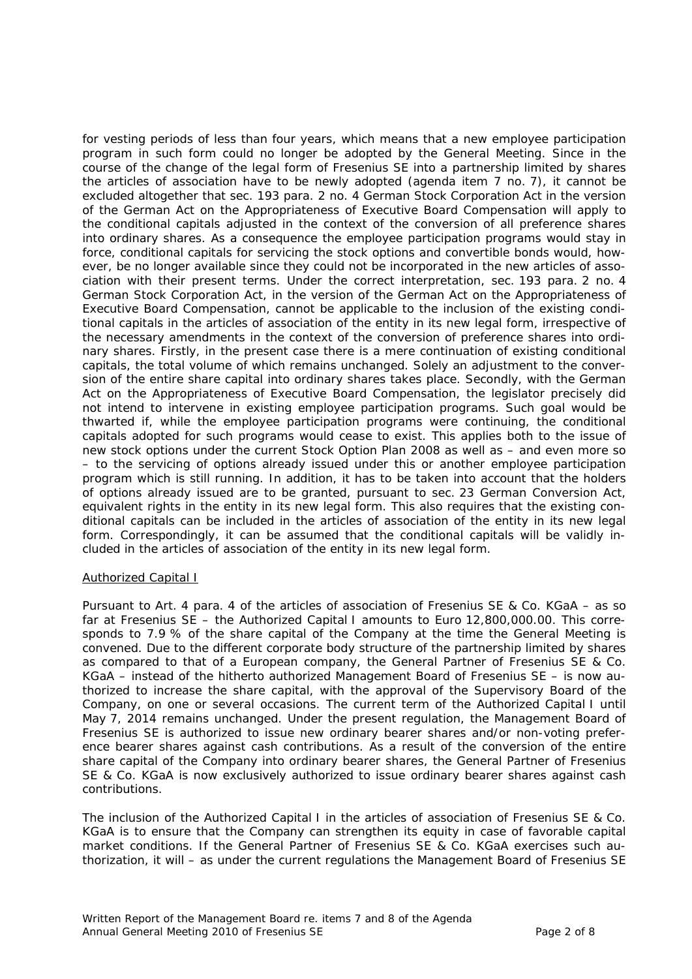for vesting periods of less than four years, which means that a new employee participation program in such form could no longer be adopted by the General Meeting. Since in the course of the change of the legal form of Fresenius SE into a partnership limited by shares the articles of association have to be newly adopted (agenda item 7 no. 7), it cannot be excluded altogether that sec. 193 para. 2 no. 4 German Stock Corporation Act in the version of the German Act on the Appropriateness of Executive Board Compensation will apply to the conditional capitals adjusted in the context of the conversion of all preference shares into ordinary shares. As a consequence the employee participation programs would stay in force, conditional capitals for servicing the stock options and convertible bonds would, however, be no longer available since they could not be incorporated in the new articles of association with their present terms. Under the correct interpretation, sec. 193 para. 2 no. 4 German Stock Corporation Act, in the version of the German Act on the Appropriateness of Executive Board Compensation, cannot be applicable to the inclusion of the existing conditional capitals in the articles of association of the entity in its new legal form, irrespective of the necessary amendments in the context of the conversion of preference shares into ordinary shares. Firstly, in the present case there is a mere continuation of existing conditional capitals, the total volume of which remains unchanged. Solely an adjustment to the conversion of the entire share capital into ordinary shares takes place. Secondly, with the German Act on the Appropriateness of Executive Board Compensation, the legislator precisely did not intend to intervene in existing employee participation programs. Such goal would be thwarted if, while the employee participation programs were continuing, the conditional capitals adopted for such programs would cease to exist. This applies both to the issue of new stock options under the current Stock Option Plan 2008 as well as – and even more so – to the servicing of options already issued under this or another employee participation program which is still running. In addition, it has to be taken into account that the holders of options already issued are to be granted, pursuant to sec. 23 German Conversion Act, equivalent rights in the entity in its new legal form. This also requires that the existing conditional capitals can be included in the articles of association of the entity in its new legal form. Correspondingly, it can be assumed that the conditional capitals will be validly included in the articles of association of the entity in its new legal form.

# Authorized Capital I

Pursuant to Art. 4 para. 4 of the articles of association of Fresenius SE & Co. KGaA – as so far at Fresenius SE – the Authorized Capital I amounts to Euro 12,800,000.00. This corresponds to 7.9 % of the share capital of the Company at the time the General Meeting is convened. Due to the different corporate body structure of the partnership limited by shares as compared to that of a European company, the General Partner of Fresenius SE & Co. KGaA – instead of the hitherto authorized Management Board of Fresenius SE – is now authorized to increase the share capital, with the approval of the Supervisory Board of the Company, on one or several occasions. The current term of the Authorized Capital I until May 7, 2014 remains unchanged. Under the present regulation, the Management Board of Fresenius SE is authorized to issue new ordinary bearer shares and/or non-voting preference bearer shares against cash contributions. As a result of the conversion of the entire share capital of the Company into ordinary bearer shares, the General Partner of Fresenius SE & Co. KGaA is now exclusively authorized to issue ordinary bearer shares against cash contributions.

The inclusion of the Authorized Capital I in the articles of association of Fresenius SE & Co. KGaA is to ensure that the Company can strengthen its equity in case of favorable capital market conditions. If the General Partner of Fresenius SE & Co. KGaA exercises such authorization, it will – as under the current regulations the Management Board of Fresenius SE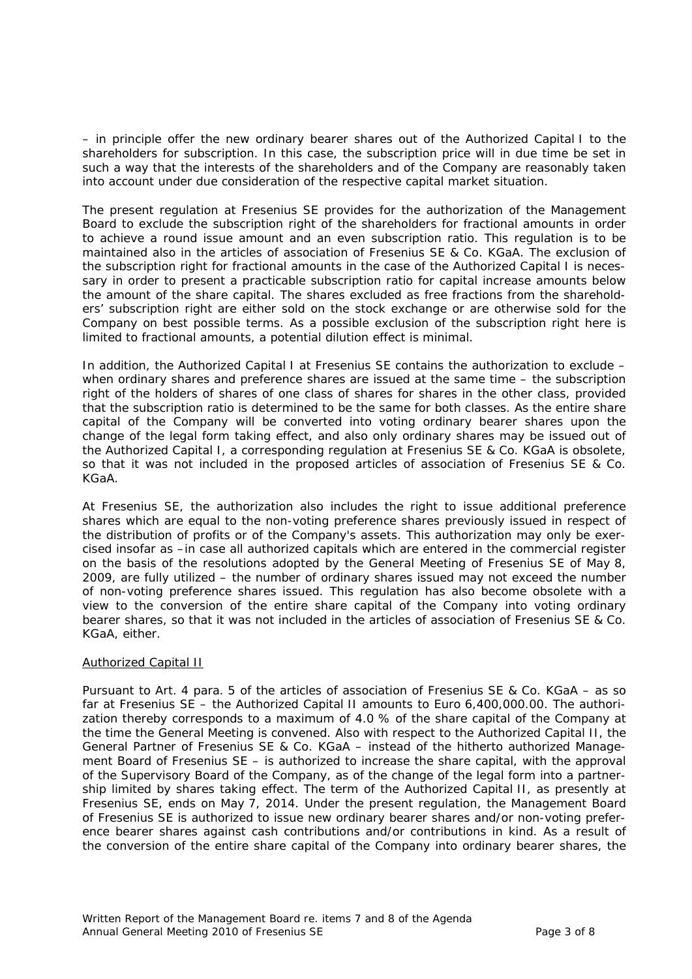– in principle offer the new ordinary bearer shares out of the Authorized Capital I to the shareholders for subscription. In this case, the subscription price will in due time be set in such a way that the interests of the shareholders and of the Company are reasonably taken into account under due consideration of the respective capital market situation.

The present regulation at Fresenius SE provides for the authorization of the Management Board to exclude the subscription right of the shareholders for fractional amounts in order to achieve a round issue amount and an even subscription ratio. This regulation is to be maintained also in the articles of association of Fresenius SE & Co. KGaA. The exclusion of the subscription right for fractional amounts in the case of the Authorized Capital I is necessary in order to present a practicable subscription ratio for capital increase amounts below the amount of the share capital. The shares excluded as free fractions from the shareholders' subscription right are either sold on the stock exchange or are otherwise sold for the Company on best possible terms. As a possible exclusion of the subscription right here is limited to fractional amounts, a potential dilution effect is minimal.

In addition, the Authorized Capital I at Fresenius SE contains the authorization to exclude – when ordinary shares and preference shares are issued at the same time – the subscription right of the holders of shares of one class of shares for shares in the other class, provided that the subscription ratio is determined to be the same for both classes. As the entire share capital of the Company will be converted into voting ordinary bearer shares upon the change of the legal form taking effect, and also only ordinary shares may be issued out of the Authorized Capital I, a corresponding regulation at Fresenius SE & Co. KGaA is obsolete, so that it was not included in the proposed articles of association of Fresenius SE & Co. KGaA.

At Fresenius SE, the authorization also includes the right to issue additional preference shares which are equal to the non-voting preference shares previously issued in respect of the distribution of profits or of the Company's assets. This authorization may only be exercised insofar as –in case all authorized capitals which are entered in the commercial register on the basis of the resolutions adopted by the General Meeting of Fresenius SE of May 8, 2009, are fully utilized – the number of ordinary shares issued may not exceed the number of non-voting preference shares issued. This regulation has also become obsolete with a view to the conversion of the entire share capital of the Company into voting ordinary bearer shares, so that it was not included in the articles of association of Fresenius SE & Co. KGaA, either.

# Authorized Capital II

Pursuant to Art. 4 para. 5 of the articles of association of Fresenius SE & Co. KGaA – as so far at Fresenius SE – the Authorized Capital II amounts to Euro 6,400,000.00. The authorization thereby corresponds to a maximum of 4.0 % of the share capital of the Company at the time the General Meeting is convened. Also with respect to the Authorized Capital II, the General Partner of Fresenius SE & Co. KGaA – instead of the hitherto authorized Management Board of Fresenius SE – is authorized to increase the share capital, with the approval of the Supervisory Board of the Company, as of the change of the legal form into a partnership limited by shares taking effect. The term of the Authorized Capital II, as presently at Fresenius SE, ends on May 7, 2014. Under the present regulation, the Management Board of Fresenius SE is authorized to issue new ordinary bearer shares and/or non-voting preference bearer shares against cash contributions and/or contributions in kind. As a result of the conversion of the entire share capital of the Company into ordinary bearer shares, the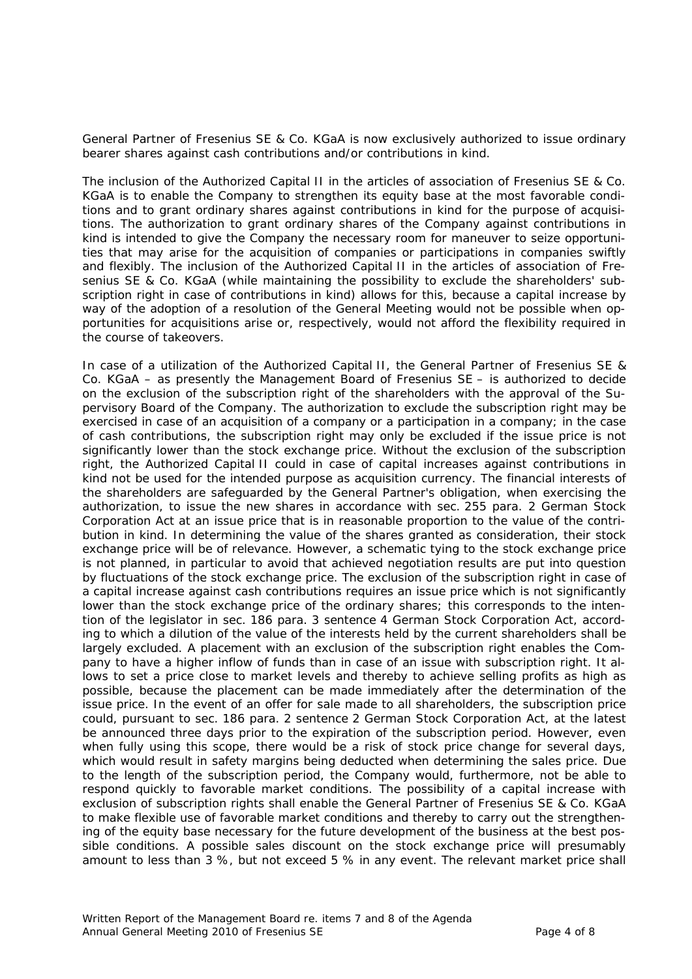General Partner of Fresenius SE & Co. KGaA is now exclusively authorized to issue ordinary bearer shares against cash contributions and/or contributions in kind.

The inclusion of the Authorized Capital II in the articles of association of Fresenius SE & Co. KGaA is to enable the Company to strengthen its equity base at the most favorable conditions and to grant ordinary shares against contributions in kind for the purpose of acquisitions. The authorization to grant ordinary shares of the Company against contributions in kind is intended to give the Company the necessary room for maneuver to seize opportunities that may arise for the acquisition of companies or participations in companies swiftly and flexibly. The inclusion of the Authorized Capital II in the articles of association of Fresenius SE & Co. KGaA (while maintaining the possibility to exclude the shareholders' subscription right in case of contributions in kind) allows for this, because a capital increase by way of the adoption of a resolution of the General Meeting would not be possible when opportunities for acquisitions arise or, respectively, would not afford the flexibility required in the course of takeovers.

In case of a utilization of the Authorized Capital II, the General Partner of Fresenius SE & Co. KGaA – as presently the Management Board of Fresenius SE – is authorized to decide on the exclusion of the subscription right of the shareholders with the approval of the Supervisory Board of the Company. The authorization to exclude the subscription right may be exercised in case of an acquisition of a company or a participation in a company; in the case of cash contributions, the subscription right may only be excluded if the issue price is not significantly lower than the stock exchange price. Without the exclusion of the subscription right, the Authorized Capital II could in case of capital increases against contributions in kind not be used for the intended purpose as acquisition currency. The financial interests of the shareholders are safeguarded by the General Partner's obligation, when exercising the authorization, to issue the new shares in accordance with sec. 255 para. 2 German Stock Corporation Act at an issue price that is in reasonable proportion to the value of the contribution in kind. In determining the value of the shares granted as consideration, their stock exchange price will be of relevance. However, a schematic tying to the stock exchange price is not planned, in particular to avoid that achieved negotiation results are put into question by fluctuations of the stock exchange price. The exclusion of the subscription right in case of a capital increase against cash contributions requires an issue price which is not significantly lower than the stock exchange price of the ordinary shares; this corresponds to the intention of the legislator in sec. 186 para. 3 sentence 4 German Stock Corporation Act, according to which a dilution of the value of the interests held by the current shareholders shall be largely excluded. A placement with an exclusion of the subscription right enables the Company to have a higher inflow of funds than in case of an issue with subscription right. It allows to set a price close to market levels and thereby to achieve selling profits as high as possible, because the placement can be made immediately after the determination of the issue price. In the event of an offer for sale made to all shareholders, the subscription price could, pursuant to sec. 186 para. 2 sentence 2 German Stock Corporation Act, at the latest be announced three days prior to the expiration of the subscription period. However, even when fully using this scope, there would be a risk of stock price change for several days, which would result in safety margins being deducted when determining the sales price. Due to the length of the subscription period, the Company would, furthermore, not be able to respond quickly to favorable market conditions. The possibility of a capital increase with exclusion of subscription rights shall enable the General Partner of Fresenius SE & Co. KGaA to make flexible use of favorable market conditions and thereby to carry out the strengthening of the equity base necessary for the future development of the business at the best possible conditions. A possible sales discount on the stock exchange price will presumably amount to less than 3 %, but not exceed 5 % in any event. The relevant market price shall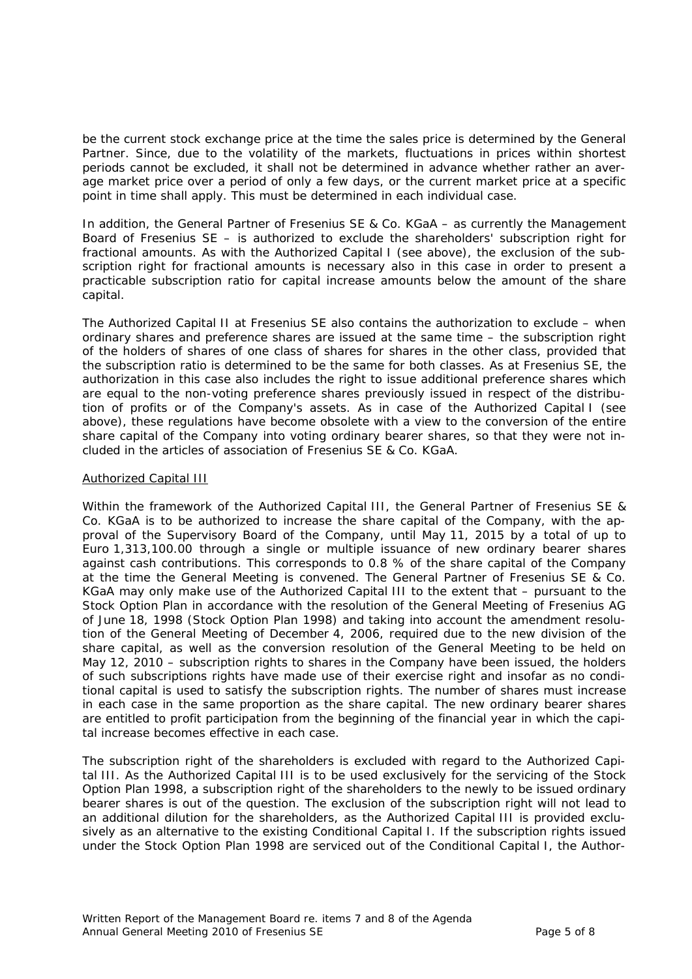be the current stock exchange price at the time the sales price is determined by the General Partner. Since, due to the volatility of the markets, fluctuations in prices within shortest periods cannot be excluded, it shall not be determined in advance whether rather an average market price over a period of only a few days, or the current market price at a specific point in time shall apply. This must be determined in each individual case.

In addition, the General Partner of Fresenius SE & Co. KGaA – as currently the Management Board of Fresenius SE – is authorized to exclude the shareholders' subscription right for fractional amounts. As with the Authorized Capital I (see above), the exclusion of the subscription right for fractional amounts is necessary also in this case in order to present a practicable subscription ratio for capital increase amounts below the amount of the share capital.

The Authorized Capital II at Fresenius SE also contains the authorization to exclude – when ordinary shares and preference shares are issued at the same time – the subscription right of the holders of shares of one class of shares for shares in the other class, provided that the subscription ratio is determined to be the same for both classes. As at Fresenius SE, the authorization in this case also includes the right to issue additional preference shares which are equal to the non-voting preference shares previously issued in respect of the distribution of profits or of the Company's assets. As in case of the Authorized Capital I (see above), these regulations have become obsolete with a view to the conversion of the entire share capital of the Company into voting ordinary bearer shares, so that they were not included in the articles of association of Fresenius SE & Co. KGaA.

# Authorized Capital III

Within the framework of the Authorized Capital III, the General Partner of Fresenius SE & Co. KGaA is to be authorized to increase the share capital of the Company, with the approval of the Supervisory Board of the Company, until May 11, 2015 by a total of up to Euro 1,313,100.00 through a single or multiple issuance of new ordinary bearer shares against cash contributions. This corresponds to 0.8 % of the share capital of the Company at the time the General Meeting is convened. The General Partner of Fresenius SE & Co. KGaA may only make use of the Authorized Capital III to the extent that – pursuant to the Stock Option Plan in accordance with the resolution of the General Meeting of Fresenius AG of June 18, 1998 (Stock Option Plan 1998) and taking into account the amendment resolution of the General Meeting of December 4, 2006, required due to the new division of the share capital, as well as the conversion resolution of the General Meeting to be held on May 12, 2010 – subscription rights to shares in the Company have been issued, the holders of such subscriptions rights have made use of their exercise right and insofar as no conditional capital is used to satisfy the subscription rights. The number of shares must increase in each case in the same proportion as the share capital. The new ordinary bearer shares are entitled to profit participation from the beginning of the financial year in which the capital increase becomes effective in each case.

The subscription right of the shareholders is excluded with regard to the Authorized Capital III. As the Authorized Capital III is to be used exclusively for the servicing of the Stock Option Plan 1998, a subscription right of the shareholders to the newly to be issued ordinary bearer shares is out of the question. The exclusion of the subscription right will not lead to an additional dilution for the shareholders, as the Authorized Capital III is provided exclusively as an alternative to the existing Conditional Capital I. If the subscription rights issued under the Stock Option Plan 1998 are serviced out of the Conditional Capital I, the Author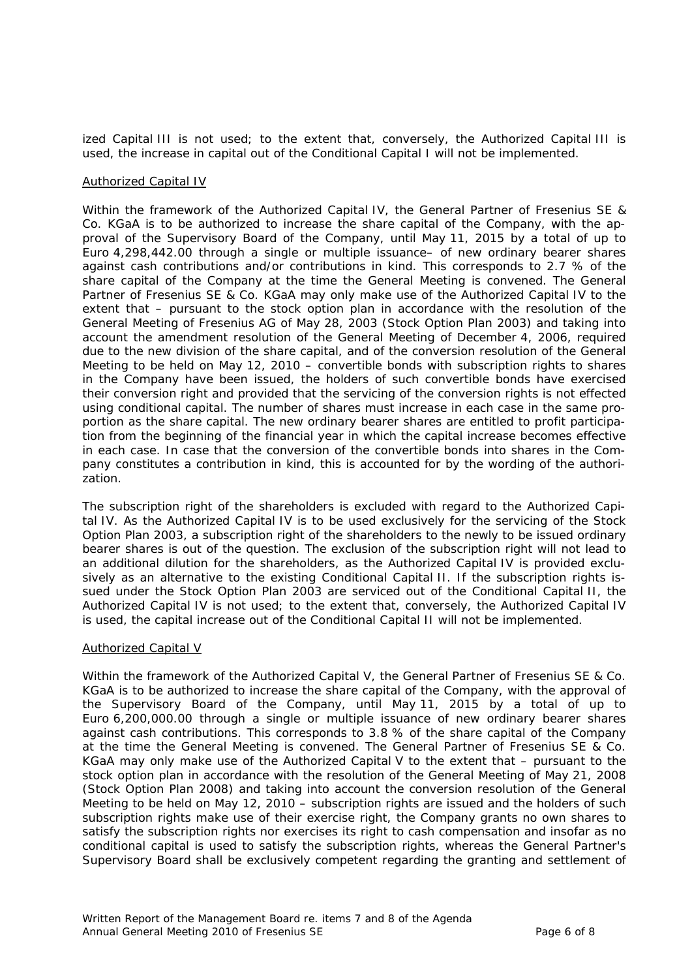ized Capital III is not used; to the extent that, conversely, the Authorized Capital III is used, the increase in capital out of the Conditional Capital I will not be implemented.

### Authorized Capital IV

Within the framework of the Authorized Capital IV, the General Partner of Fresenius SE & Co. KGaA is to be authorized to increase the share capital of the Company, with the approval of the Supervisory Board of the Company, until May 11, 2015 by a total of up to Euro 4,298,442.00 through a single or multiple issuance– of new ordinary bearer shares against cash contributions and/or contributions in kind. This corresponds to 2.7 % of the share capital of the Company at the time the General Meeting is convened. The General Partner of Fresenius SE & Co. KGaA may only make use of the Authorized Capital IV to the extent that – pursuant to the stock option plan in accordance with the resolution of the General Meeting of Fresenius AG of May 28, 2003 (Stock Option Plan 2003) and taking into account the amendment resolution of the General Meeting of December 4, 2006, required due to the new division of the share capital, and of the conversion resolution of the General Meeting to be held on May 12, 2010 – convertible bonds with subscription rights to shares in the Company have been issued, the holders of such convertible bonds have exercised their conversion right and provided that the servicing of the conversion rights is not effected using conditional capital. The number of shares must increase in each case in the same proportion as the share capital. The new ordinary bearer shares are entitled to profit participation from the beginning of the financial year in which the capital increase becomes effective in each case. In case that the conversion of the convertible bonds into shares in the Company constitutes a contribution in kind, this is accounted for by the wording of the authorization.

The subscription right of the shareholders is excluded with regard to the Authorized Capital IV. As the Authorized Capital IV is to be used exclusively for the servicing of the Stock Option Plan 2003, a subscription right of the shareholders to the newly to be issued ordinary bearer shares is out of the question. The exclusion of the subscription right will not lead to an additional dilution for the shareholders, as the Authorized Capital IV is provided exclusively as an alternative to the existing Conditional Capital II. If the subscription rights issued under the Stock Option Plan 2003 are serviced out of the Conditional Capital II, the Authorized Capital IV is not used; to the extent that, conversely, the Authorized Capital IV is used, the capital increase out of the Conditional Capital II will not be implemented.

# Authorized Capital V

Within the framework of the Authorized Capital V, the General Partner of Fresenius SE & Co. KGaA is to be authorized to increase the share capital of the Company, with the approval of the Supervisory Board of the Company, until May 11, 2015 by a total of up to Euro 6,200,000.00 through a single or multiple issuance of new ordinary bearer shares against cash contributions. This corresponds to 3.8 % of the share capital of the Company at the time the General Meeting is convened. The General Partner of Fresenius SE & Co. KGaA may only make use of the Authorized Capital V to the extent that – pursuant to the stock option plan in accordance with the resolution of the General Meeting of May 21, 2008 (Stock Option Plan 2008) and taking into account the conversion resolution of the General Meeting to be held on May 12, 2010 – subscription rights are issued and the holders of such subscription rights make use of their exercise right, the Company grants no own shares to satisfy the subscription rights nor exercises its right to cash compensation and insofar as no conditional capital is used to satisfy the subscription rights, whereas the General Partner's Supervisory Board shall be exclusively competent regarding the granting and settlement of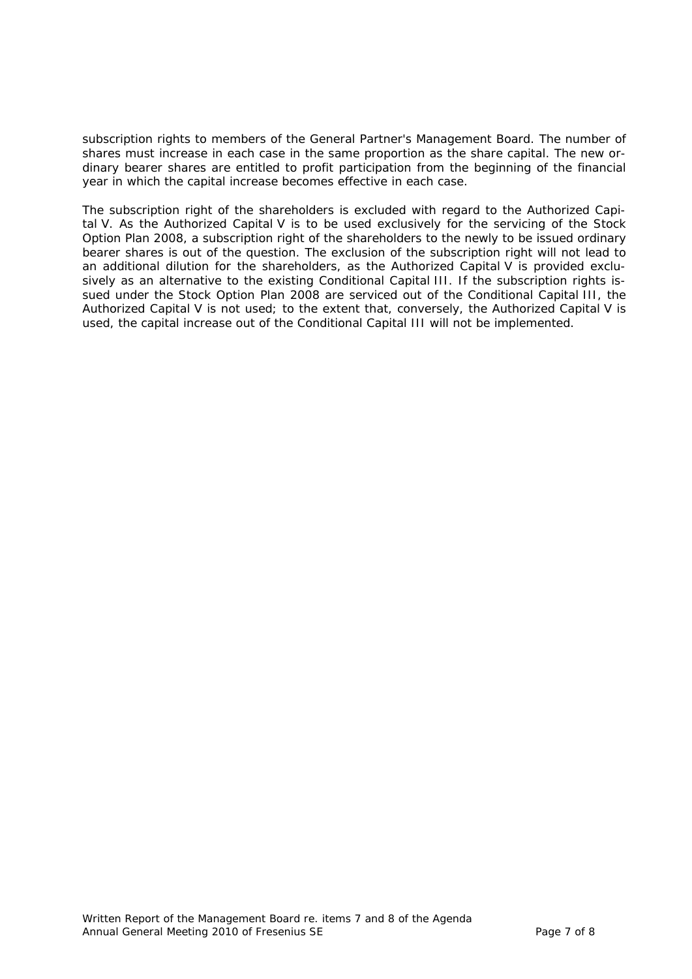subscription rights to members of the General Partner's Management Board. The number of shares must increase in each case in the same proportion as the share capital. The new ordinary bearer shares are entitled to profit participation from the beginning of the financial year in which the capital increase becomes effective in each case.

The subscription right of the shareholders is excluded with regard to the Authorized Capital V. As the Authorized Capital V is to be used exclusively for the servicing of the Stock Option Plan 2008, a subscription right of the shareholders to the newly to be issued ordinary bearer shares is out of the question. The exclusion of the subscription right will not lead to an additional dilution for the shareholders, as the Authorized Capital V is provided exclusively as an alternative to the existing Conditional Capital III. If the subscription rights issued under the Stock Option Plan 2008 are serviced out of the Conditional Capital III, the Authorized Capital V is not used; to the extent that, conversely, the Authorized Capital V is used, the capital increase out of the Conditional Capital III will not be implemented.